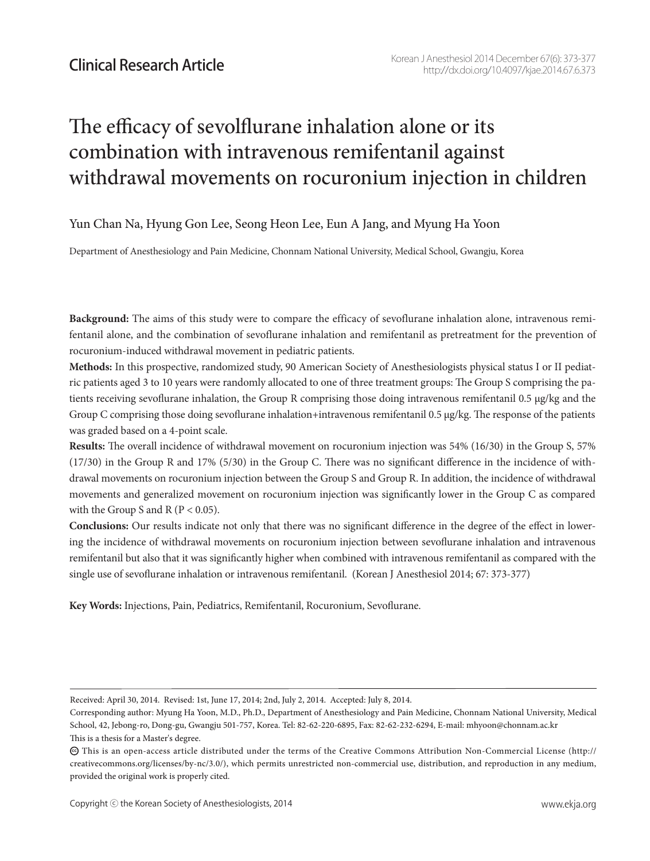# The efficacy of sevolflurane inhalation alone or its combination with intravenous remifentanil against withdrawal movements on rocuronium injection in children

## Yun Chan Na, Hyung Gon Lee, Seong Heon Lee, Eun A Jang, and Myung Ha Yoon

Department of Anesthesiology and Pain Medicine, Chonnam National University, Medical School, Gwangju, Korea

**Background:** The aims of this study were to compare the efficacy of sevoflurane inhalation alone, intravenous remifentanil alone, and the combination of sevoflurane inhalation and remifentanil as pretreatment for the prevention of rocuronium-induced withdrawal movement in pediatric patients.

**Methods:** In this prospective, randomized study, 90 American Society of Anesthesiologists physical status I or II pediatric patients aged 3 to 10 years were randomly allocated to one of three treatment groups: The Group S comprising the patients receiving sevoflurane inhalation, the Group R comprising those doing intravenous remifentanil 0.5 μg/kg and the Group C comprising those doing sevoflurane inhalation+intravenous remifentanil 0.5 μg/kg. The response of the patients was graded based on a 4-point scale.

**Results:** The overall incidence of withdrawal movement on rocuronium injection was 54% (16/30) in the Group S, 57% (17/30) in the Group R and 17% (5/30) in the Group C. There was no significant difference in the incidence of withdrawal movements on rocuronium injection between the Group S and Group R. In addition, the incidence of withdrawal movements and generalized movement on rocuronium injection was significantly lower in the Group C as compared with the Group S and R ( $P < 0.05$ ).

**Conclusions:** Our results indicate not only that there was no significant difference in the degree of the effect in lowering the incidence of withdrawal movements on rocuronium injection between sevoflurane inhalation and intravenous remifentanil but also that it was significantly higher when combined with intravenous remifentanil as compared with the single use of sevoflurane inhalation or intravenous remifentanil. (Korean J Anesthesiol 2014; 67: 373-377)

**Key Words:** Injections, Pain, Pediatrics, Remifentanil, Rocuronium, Sevoflurane.

Received: April 30, 2014. Revised: 1st, June 17, 2014; 2nd, July 2, 2014. Accepted: July 8, 2014.

Corresponding author: Myung Ha Yoon, M.D., Ph.D., Department of Anesthesiology and Pain Medicine, Chonnam National University, Medical School, 42, Jebong-ro, Dong-gu, Gwangju 501-757, Korea. Tel: 82-62-220-6895, Fax: 82-62-232-6294, E-mail: mhyoon@chonnam.ac.kr This is a thesis for a Master's degree.

 $\bm{\odot}$  This is an open-access article distributed under the terms of the Creative Commons Attribution Non-Commercial License (http:// creativecommons.org/licenses/by-nc/3.0/), which permits unrestricted non-commercial use, distribution, and reproduction in any medium, provided the original work is properly cited.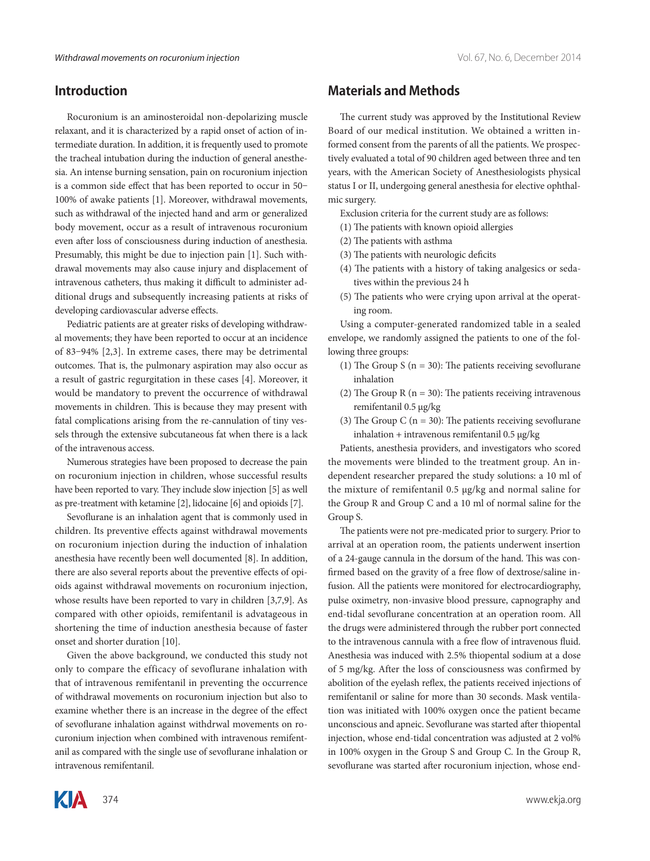## **Introduction**

Rocuronium is an aminosteroidal non-depolarizing muscle relaxant, and it is characterized by a rapid onset of action of intermediate duration. In addition, it is frequently used to promote the tracheal intubation during the induction of general anesthesia. An intense burning sensation, pain on rocuronium injection is a common side effect that has been reported to occur in 50- 100% of awake patients [1]. Moreover, withdrawal movements, such as withdrawal of the injected hand and arm or generalized body movement, occur as a result of intravenous rocuronium even after loss of consciousness during induction of anesthesia. Presumably, this might be due to injection pain [1]. Such withdrawal movements may also cause injury and displacement of intravenous catheters, thus making it difficult to administer additional drugs and subsequently increasing patients at risks of developing cardiovascular adverse effects.

Pediatric patients are at greater risks of developing withdrawal movements; they have been reported to occur at an incidence of 83-94% [2,3]. In extreme cases, there may be detrimental outcomes. That is, the pulmonary aspiration may also occur as a result of gastric regurgitation in these cases [4]. Moreover, it would be mandatory to prevent the occurrence of withdrawal movements in children. This is because they may present with fatal complications arising from the re-cannulation of tiny vessels through the extensive subcutaneous fat when there is a lack of the intravenous access.

Numerous strategies have been proposed to decrease the pain on rocuronium injection in children, whose successful results have been reported to vary. They include slow injection [5] as well as pre-treatment with ketamine [2], lidocaine [6] and opioids [7].

Sevoflurane is an inhalation agent that is commonly used in children. Its preventive effects against withdrawal movements on rocuronium injection during the induction of inhalation anesthesia have recently been well documented [8]. In addition, there are also several reports about the preventive effects of opioids against withdrawal movements on rocuronium injection, whose results have been reported to vary in children [3,7,9]. As compared with other opioids, remifentanil is advatageous in shortening the time of induction anesthesia because of faster onset and shorter duration [10].

Given the above background, we conducted this study not only to compare the efficacy of sevoflurane inhalation with that of intravenous remifentanil in preventing the occurrence of withdrawal movements on rocuronium injection but also to examine whether there is an increase in the degree of the effect of sevoflurane inhalation against withdrwal movements on rocuronium injection when combined with intravenous remifentanil as compared with the single use of sevoflurane inhalation or intravenous remifentanil.

## **Materials and Methods**

The current study was approved by the Institutional Review Board of our medical institution. We obtained a written informed consent from the parents of all the patients. We prospectively evaluated a total of 90 children aged between three and ten years, with the American Society of Anesthesiologists physical status I or II, undergoing general anesthesia for elective ophthalmic surgery.

Exclusion criteria for the current study are as follows:

- (1) The patients with known opioid allergies
- (2) The patients with asthma
- (3) The patients with neurologic deficits
- (4) The patients with a history of taking analgesics or sedatives within the previous 24 h
- (5) The patients who were crying upon arrival at the operating room.

Using a computer-generated randomized table in a sealed envelope, we randomly assigned the patients to one of the following three groups:

- (1) The Group S ( $n = 30$ ): The patients receiving sevoflurane inhalation
- (2) The Group R ( $n = 30$ ): The patients receiving intravenous remifentanil 0.5 μg/kg
- (3) The Group C ( $n = 30$ ): The patients receiving sevoflurane inhalation + intravenous remifentanil 0.5 μg/kg

Patients, anesthesia providers, and investigators who scored the movements were blinded to the treatment group. An independent researcher prepared the study solutions: a 10 ml of the mixture of remifentanil 0.5 μg/kg and normal saline for the Group R and Group C and a 10 ml of normal saline for the Group S.

The patients were not pre-medicated prior to surgery. Prior to arrival at an operation room, the patients underwent insertion of a 24-gauge cannula in the dorsum of the hand. This was confirmed based on the gravity of a free flow of dextrose/saline infusion. All the patients were monitored for electrocardiography, pulse oximetry, non-invasive blood pressure, capnography and end-tidal sevoflurane concentration at an operation room. All the drugs were administered through the rubber port connected to the intravenous cannula with a free flow of intravenous fluid. Anesthesia was induced with 2.5% thiopental sodium at a dose of 5 mg/kg. After the loss of consciousness was confirmed by abolition of the eyelash reflex, the patients received injections of remifentanil or saline for more than 30 seconds. Mask ventilation was initiated with 100% oxygen once the patient became unconscious and apneic. Sevoflurane was started after thiopental injection, whose end-tidal concentration was adjusted at 2 vol% in 100% oxygen in the Group S and Group C. In the Group R, sevoflurane was started after rocuronium injection, whose end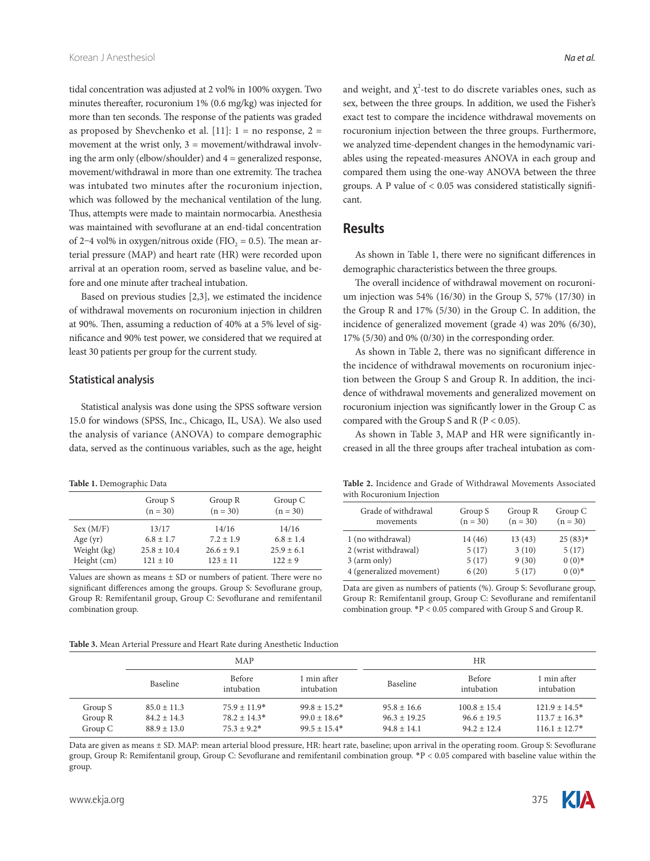tidal concentration was adjusted at 2 vol% in 100% oxygen. Two minutes thereafter, rocuronium 1% (0.6 mg/kg) was injected for more than ten seconds. The response of the patients was graded as proposed by Shevchenko et al. [11]:  $1 =$  no response,  $2 =$ movement at the wrist only,  $3 =$  movement/withdrawal involving the arm only (elbow/shoulder) and  $4 =$  generalized response, movement/withdrawal in more than one extremity. The trachea was intubated two minutes after the rocuronium injection, which was followed by the mechanical ventilation of the lung. Thus, attempts were made to maintain normocarbia. Anesthesia was maintained with sevoflurane at an end-tidal concentration of 2-4 vol% in oxygen/nitrous oxide (FIO<sub>2</sub> = 0.5). The mean arterial pressure (MAP) and heart rate (HR) were recorded upon arrival at an operation room, served as baseline value, and before and one minute after tracheal intubation.

Based on previous studies [2,3], we estimated the incidence of withdrawal movements on rocuronium injection in children at 90%. Then, assuming a reduction of 40% at a 5% level of significance and 90% test power, we considered that we required at least 30 patients per group for the current study.

#### Statistical analysis

Statistical analysis was done using the SPSS software version 15.0 for windows (SPSS, Inc., Chicago, IL, USA). We also used the analysis of variance (ANOVA) to compare demographic data, served as the continuous variables, such as the age, height

|  |  | Table 1. Demographic Data |  |
|--|--|---------------------------|--|
|--|--|---------------------------|--|

|             | Group S         | Group R        | Group C        |
|-------------|-----------------|----------------|----------------|
|             | $(n = 30)$      | $(n = 30)$     | $(n = 30)$     |
| Sex (M/F)   | 13/17           | 14/16          | 14/16          |
| Age $(yr)$  | $6.8 \pm 1.7$   | $7.2 \pm 1.9$  | $6.8 \pm 1.4$  |
| Weight (kg) | $25.8 \pm 10.4$ | $26.6 \pm 9.1$ | $25.9 \pm 6.1$ |
| Height (cm) | $121 \pm 10$    | $123 \pm 11$   | $122 \pm 9$    |

Values are shown as means  $\pm$  SD or numbers of patient. There were no significant differences among the groups. Group S: Sevoflurane group, Group R: Remifentanil group, Group C: Sevoflurane and remifentanil combination group.

and weight, and  $\chi^2$ -test to do discrete variables ones, such as sex, between the three groups. In addition, we used the Fisher's exact test to compare the incidence withdrawal movements on rocuronium injection between the three groups. Furthermore, we analyzed time-dependent changes in the hemodynamic variables using the repeated-measures ANOVA in each group and compared them using the one-way ANOVA between the three groups. A P value of  $< 0.05$  was considered statistically significant.

### **Results**

As shown in Table 1, there were no significant differences in demographic characteristics between the three groups.

The overall incidence of withdrawal movement on rocuronium injection was 54% (16/30) in the Group S, 57% (17/30) in the Group R and 17% (5/30) in the Group C. In addition, the incidence of generalized movement (grade 4) was 20% (6/30), 17% (5/30) and 0% (0/30) in the corresponding order.

As shown in Table 2, there was no significant difference in the incidence of withdrawal movements on rocuronium injection between the Group S and Group R. In addition, the incidence of withdrawal movements and generalized movement on rocuronium injection was significantly lower in the Group C as compared with the Group S and R ( $P < 0.05$ ).

As shown in Table 3, MAP and HR were significantly increased in all the three groups after tracheal intubation as com-

**Table 2.** Incidence and Grade of Withdrawal Movements Associated with Rocuronium Injection

| Grade of withdrawal      | Group S    | Group R    | Group C    |
|--------------------------|------------|------------|------------|
| movements                | $(n = 30)$ | $(n = 30)$ | $(n = 30)$ |
| 1 (no withdrawal)        | 14 (46)    | 13(43)     | $25(83)*$  |
| 2 (wrist withdrawal)     | 5(17)      | 3(10)      | 5(17)      |
| 3 (arm only)             | 5(17)      | 9(30)      | $0(0)*$    |
| 4 (generalized movement) | 6(20)      | 5(17)      | $0(0)*$    |

Data are given as numbers of patients (%). Group S: Sevoflurane group, Group R: Remifentanil group, Group C: Sevoflurane and remifentanil combination group. \*P < 0.05 compared with Group S and Group R.

| Table 3. Mean Arterial Pressure and Heart Rate during Anesthetic Induction |  |
|----------------------------------------------------------------------------|--|
|----------------------------------------------------------------------------|--|

|         | MAP             |                      |                           | <b>HR</b>        |                      |                           |
|---------|-----------------|----------------------|---------------------------|------------------|----------------------|---------------------------|
|         | Baseline        | Before<br>intubation | 1 min after<br>intubation | Baseline         | Before<br>intubation | 1 min after<br>intubation |
| Group S | $85.0 \pm 11.3$ | $75.9 \pm 11.9*$     | $99.8 \pm 15.2^*$         | $95.8 \pm 16.6$  | $100.8 \pm 15.4$     | $121.9 \pm 14.5*$         |
| Group R | $84.2 \pm 14.3$ | $78.2 \pm 14.3*$     | $99.0 \pm 18.6^*$         | $96.3 \pm 19.25$ | $96.6 \pm 19.5$      | $113.7 \pm 16.3*$         |
| Group C | $88.9 \pm 13.0$ | $75.3 + 9.2*$        | $99.5 \pm 15.4*$          | $94.8 \pm 14.1$  | $94.2 \pm 12.4$      | $116.1 \pm 12.7*$         |

Data are given as means ± SD. MAP: mean arterial blood pressure, HR: heart rate, baseline; upon arrival in the operating room. Group S: Sevoflurane group, Group R: Remifentanil group, Group C: Sevoflurane and remifentanil combination group. \*P < 0.05 compared with baseline value within the group.

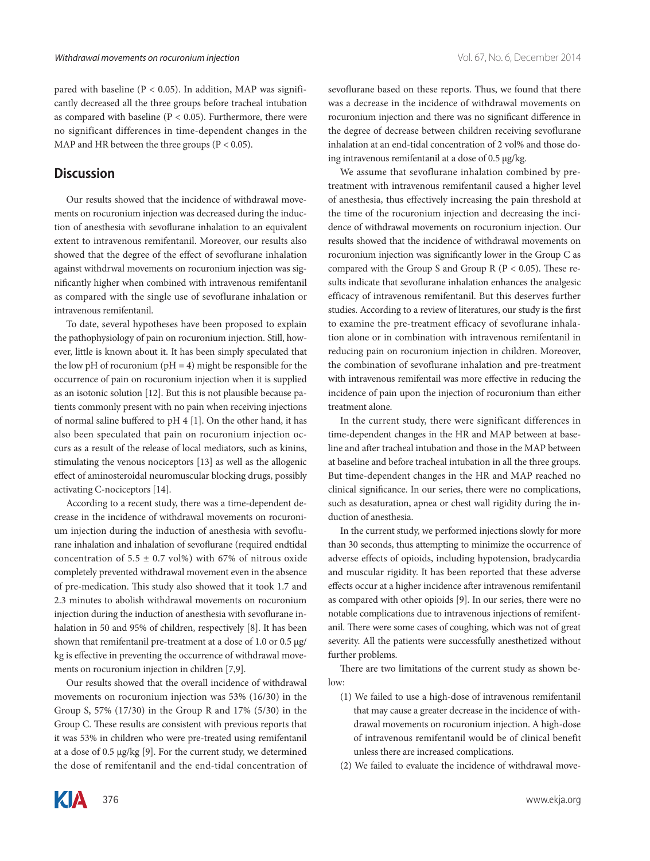pared with baseline ( $P < 0.05$ ). In addition, MAP was significantly decreased all the three groups before tracheal intubation as compared with baseline ( $P < 0.05$ ). Furthermore, there were no significant differences in time-dependent changes in the MAP and HR between the three groups ( $P < 0.05$ ).

## **Discussion**

Our results showed that the incidence of withdrawal movements on rocuronium injection was decreased during the induction of anesthesia with sevoflurane inhalation to an equivalent extent to intravenous remifentanil. Moreover, our results also showed that the degree of the effect of sevoflurane inhalation against withdrwal movements on rocuronium injection was significantly higher when combined with intravenous remifentanil as compared with the single use of sevoflurane inhalation or intravenous remifentanil.

To date, several hypotheses have been proposed to explain the pathophysiology of pain on rocuronium injection. Still, however, little is known about it. It has been simply speculated that the low pH of rocuronium ( $pH = 4$ ) might be responsible for the occurrence of pain on rocuronium injection when it is supplied as an isotonic solution [12]. But this is not plausible because patients commonly present with no pain when receiving injections of normal saline buffered to pH 4 [1]. On the other hand, it has also been speculated that pain on rocuronium injection occurs as a result of the release of local mediators, such as kinins, stimulating the venous nociceptors [13] as well as the allogenic effect of aminosteroidal neuromuscular blocking drugs, possibly activating C-nociceptors [14].

According to a recent study, there was a time-dependent decrease in the incidence of withdrawal movements on rocuronium injection during the induction of anesthesia with sevoflurane inhalation and inhalation of sevoflurane (required endtidal concentration of  $5.5 \pm 0.7$  vol%) with 67% of nitrous oxide completely prevented withdrawal movement even in the absence of pre-medication. This study also showed that it took 1.7 and 2.3 minutes to abolish withdrawal movements on rocuronium injection during the induction of anesthesia with sevoflurane inhalation in 50 and 95% of children, respectively [8]. It has been shown that remifentanil pre-treatment at a dose of 1.0 or 0.5 μg/ kg is effective in preventing the occurrence of withdrawal movements on rocuronium injection in children [7,9].

Our results showed that the overall incidence of withdrawal movements on rocuronium injection was 53% (16/30) in the Group S, 57% (17/30) in the Group R and 17% (5/30) in the Group C. These results are consistent with previous reports that it was 53% in children who were pre-treated using remifentanil at a dose of 0.5 μg/kg [9]. For the current study, we determined the dose of remifentanil and the end-tidal concentration of sevoflurane based on these reports. Thus, we found that there was a decrease in the incidence of withdrawal movements on rocuronium injection and there was no significant difference in the degree of decrease between children receiving sevoflurane inhalation at an end-tidal concentration of 2 vol% and those doing intravenous remifentanil at a dose of 0.5 μg/kg.

We assume that sevoflurane inhalation combined by pretreatment with intravenous remifentanil caused a higher level of anesthesia, thus effectively increasing the pain threshold at the time of the rocuronium injection and decreasing the incidence of withdrawal movements on rocuronium injection. Our results showed that the incidence of withdrawal movements on rocuronium injection was significantly lower in the Group C as compared with the Group S and Group R ( $P < 0.05$ ). These results indicate that sevoflurane inhalation enhances the analgesic efficacy of intravenous remifentanil. But this deserves further studies. According to a review of literatures, our study is the first to examine the pre-treatment efficacy of sevoflurane inhalation alone or in combination with intravenous remifentanil in reducing pain on rocuronium injection in children. Moreover, the combination of sevoflurane inhalation and pre-treatment with intravenous remifentail was more effective in reducing the incidence of pain upon the injection of rocuronium than either treatment alone.

In the current study, there were significant differences in time-dependent changes in the HR and MAP between at baseline and after tracheal intubation and those in the MAP between at baseline and before tracheal intubation in all the three groups. But time-dependent changes in the HR and MAP reached no clinical significance. In our series, there were no complications, such as desaturation, apnea or chest wall rigidity during the induction of anesthesia.

In the current study, we performed injections slowly for more than 30 seconds, thus attempting to minimize the occurrence of adverse effects of opioids, including hypotension, bradycardia and muscular rigidity. It has been reported that these adverse effects occur at a higher incidence after intravenous remifentanil as compared with other opioids [9]. In our series, there were no notable complications due to intravenous injections of remifentanil. There were some cases of coughing, which was not of great severity. All the patients were successfully anesthetized without further problems.

There are two limitations of the current study as shown be $low$ 

- (1) We failed to use a high-dose of intravenous remifentanil that may cause a greater decrease in the incidence of withdrawal movements on rocuronium injection. A high-dose of intravenous remifentanil would be of clinical benefit unless there are increased complications.
- (2) We failed to evaluate the incidence of withdrawal move-